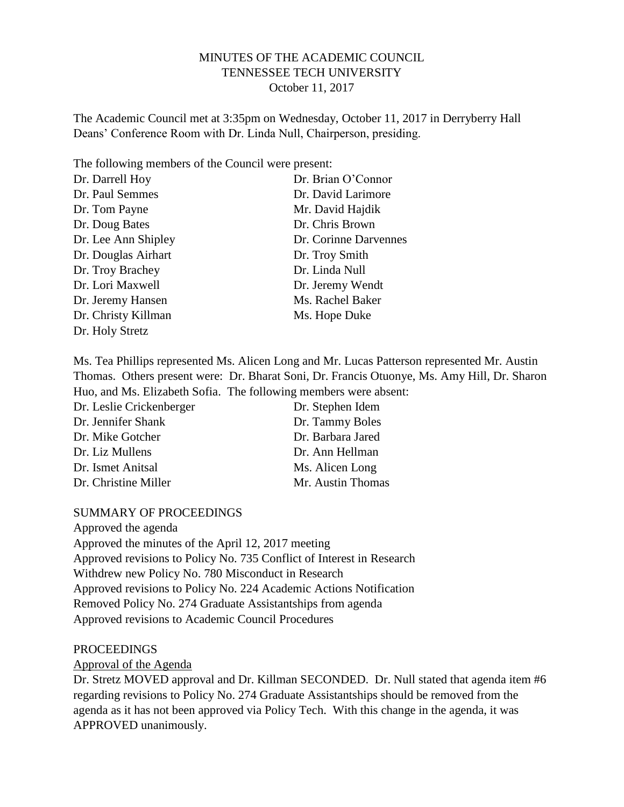# MINUTES OF THE ACADEMIC COUNCIL TENNESSEE TECH UNIVERSITY October 11, 2017

The Academic Council met at 3:35pm on Wednesday, October 11, 2017 in Derryberry Hall Deans' Conference Room with Dr. Linda Null, Chairperson, presiding.

The following members of the Council were present:

| Dr. Darrell Hoy     | Dr. Brian O'Connor    |
|---------------------|-----------------------|
| Dr. Paul Semmes     | Dr. David Larimore    |
| Dr. Tom Payne       | Mr. David Hajdik      |
| Dr. Doug Bates      | Dr. Chris Brown       |
| Dr. Lee Ann Shipley | Dr. Corinne Darvennes |
| Dr. Douglas Airhart | Dr. Troy Smith        |
| Dr. Troy Brachey    | Dr. Linda Null        |
| Dr. Lori Maxwell    | Dr. Jeremy Wendt      |
| Dr. Jeremy Hansen   | Ms. Rachel Baker      |
| Dr. Christy Killman | Ms. Hope Duke         |
| Dr. Holy Stretz     |                       |

Ms. Tea Phillips represented Ms. Alicen Long and Mr. Lucas Patterson represented Mr. Austin Thomas. Others present were: Dr. Bharat Soni, Dr. Francis Otuonye, Ms. Amy Hill, Dr. Sharon Huo, and Ms. Elizabeth Sofia. The following members were absent:  $D_n$  Leslie  $C^{n+1}$ 

| Dr. Stephen Idem  |
|-------------------|
| Dr. Tammy Boles   |
| Dr. Barbara Jared |
| Dr. Ann Hellman   |
| Ms. Alicen Long   |
| Mr. Austin Thomas |
|                   |

### SUMMARY OF PROCEEDINGS

Approved the agenda Approved the minutes of the April 12, 2017 meeting Approved revisions to Policy No. 735 Conflict of Interest in Research Withdrew new Policy No. 780 Misconduct in Research Approved revisions to Policy No. 224 Academic Actions Notification Removed Policy No. 274 Graduate Assistantships from agenda Approved revisions to Academic Council Procedures

### PROCEEDINGS

Approval of the Agenda

Dr. Stretz MOVED approval and Dr. Killman SECONDED. Dr. Null stated that agenda item #6 regarding revisions to Policy No. 274 Graduate Assistantships should be removed from the agenda as it has not been approved via Policy Tech. With this change in the agenda, it was APPROVED unanimously.